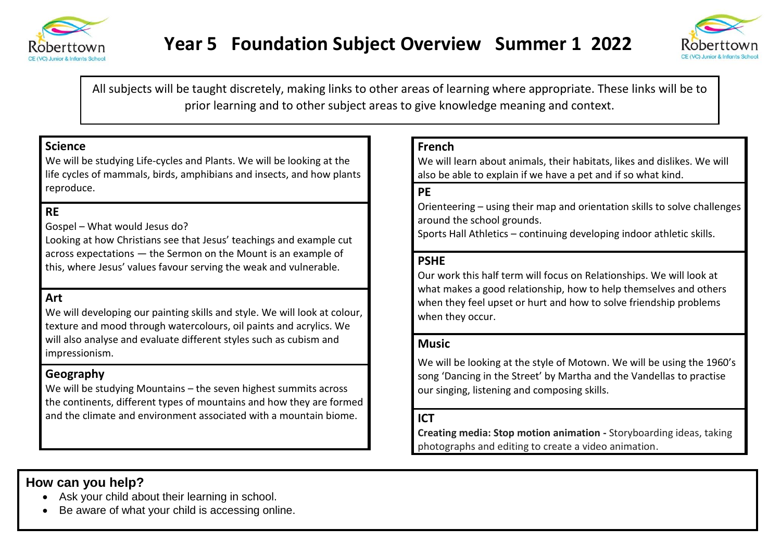



All subjects will be taught discretely, making links to other areas of learning where appropriate. These links will be to prior learning and to other subject areas to give knowledge meaning and context.

# **Science**

We will be studying Life-cycles and Plants. We will be looking at the life cycles of mammals, birds, amphibians and insects, and how plants reproduce.

# **RE**

Gospel – What would Jesus do?

Looking at how Christians see that Jesus' teachings and example cut across expectations — the Sermon on the Mount is an example of this, where Jesus' values favour serving the weak and vulnerable.

## **Art**

We will developing our painting skills and style. We will look at colour, texture and mood through watercolours, oil paints and acrylics. We will also analyse and evaluate different styles such as cubism and impressionism.

## **Geography**

We will be studying Mountains – the seven highest summits across the continents, different types of mountains and how they are formed and the climate and environment associated with a mountain biome.

### **French**

We will learn about animals, their habitats, likes and dislikes. We will also be able to explain if we have a pet and if so what kind.

# **PE**

Orienteering – using their map and orientation skills to solve challenges around the school grounds.

Sports Hall Athletics – continuing developing indoor athletic skills.

### **PSHE**

Our work this half term will focus on Relationships. We will look at what makes a good relationship, how to help themselves and others when they feel upset or hurt and how to solve friendship problems when they occur.

#### **Music**

We will be looking at the style of Motown. We will be using the 1960's song 'Dancing in the Street' by Martha and the Vandellas to practise our singing, listening and composing skills.

## **ICT**

**Creating media: Stop motion animation -** Storyboarding ideas, taking photographs and editing to create a video animation.

# **How can you help?**

- Ask your child about their learning in school.
- Be aware of what your child is accessing online.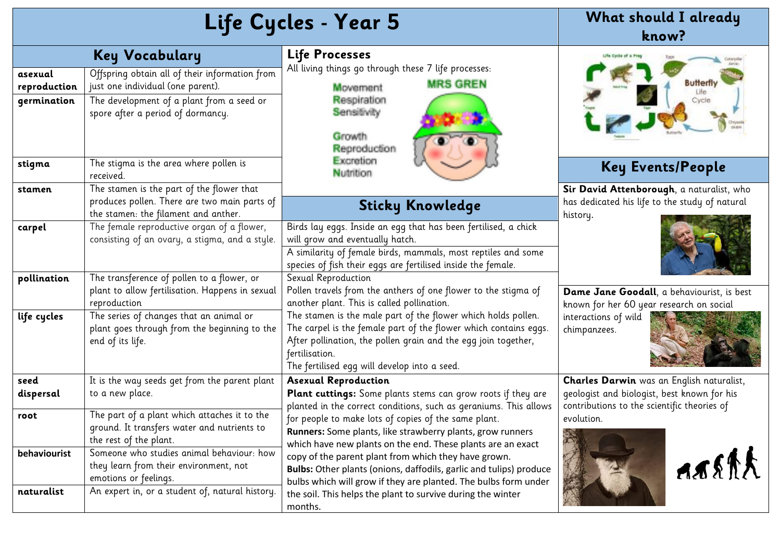| Life Cycles - Year 5                   |                                                                                                                                                                       |                                                                                                                                                                                                                                                                       | What should I already<br>know?                                                                          |
|----------------------------------------|-----------------------------------------------------------------------------------------------------------------------------------------------------------------------|-----------------------------------------------------------------------------------------------------------------------------------------------------------------------------------------------------------------------------------------------------------------------|---------------------------------------------------------------------------------------------------------|
|                                        | <b>Key Vocabulary</b>                                                                                                                                                 | Life Processes                                                                                                                                                                                                                                                        |                                                                                                         |
| asexual<br>reproduction<br>germination | Offspring obtain all of their information from<br>just one individual (one parent).<br>The development of a plant from a seed or<br>spore after a period of dormancy. | All living things go through these 7 life processes:<br><b>MRS GREN</b><br>Movement<br>Respiration<br>Sensitivity<br>Growth:<br>Reproduction                                                                                                                          |                                                                                                         |
| stigma                                 | The stigma is the area where pollen is<br>received.                                                                                                                   | Excretion<br>Nutrition                                                                                                                                                                                                                                                | <b>Key Events/People</b>                                                                                |
| stamen                                 | The stamen is the part of the flower that<br>produces pollen. There are two main parts of<br>the stamen: the filament and anther.                                     | <b>Sticky Knowledge</b>                                                                                                                                                                                                                                               | Sir David Attenborough, a naturalist, who<br>has dedicated his life to the study of natural<br>history. |
| carpel                                 | The female reproductive organ of a flower,<br>consisting of an ovary, a stigma, and a style.                                                                          | Birds lay eggs. Inside an egg that has been fertilised, a chick<br>will grow and eventually hatch.<br>A similarity of female birds, mammals, most reptiles and some<br>species of fish their eggs are fertilised inside the female.                                   |                                                                                                         |
| pollination                            | The transference of pollen to a flower, or<br>plant to allow fertilisation. Happens in sexual<br>reproduction                                                         | Sexual Reproduction<br>Pollen travels from the anthers of one flower to the stigma of<br>another plant. This is called pollination.                                                                                                                                   | Dame Jane Goodall, a behaviourist, is best<br>known for her 60 year research on social                  |
| life cycles                            | The series of changes that an animal or<br>plant goes through from the beginning to the<br>end of its life.                                                           | The stamen is the male part of the flower which holds pollen.<br>The carpel is the female part of the flower which contains eggs.<br>After pollination, the pollen grain and the egg join together,<br>fertilisation.<br>The fertilised egg will develop into a seed. | interactions of wild<br>chimpanzees.                                                                    |
| seed                                   | It is the way seeds get from the parent plant                                                                                                                         | <b>Asexual Reproduction</b>                                                                                                                                                                                                                                           | Charles Darwin was an English naturalist,                                                               |
| dispersal                              | to a new place.                                                                                                                                                       | Plant cuttings: Some plants stems can grow roots if they are<br>planted in the correct conditions, such as geraniums. This allows                                                                                                                                     | geologist and biologist, best known for his<br>contributions to the scientific theories of              |
| root                                   | The part of a plant which attaches it to the<br>ground. It transfers water and nutrients to<br>the rest of the plant.                                                 | for people to make lots of copies of the same plant.<br>Runners: Some plants, like strawberry plants, grow runners<br>which have new plants on the end. These plants are an exact                                                                                     | evolution.                                                                                              |
| behaviourist                           | Someone who studies animal behaviour: how<br>they learn from their environment, not<br>emotions or feelings.                                                          | copy of the parent plant from which they have grown.<br>Bulbs: Other plants (onions, daffodils, garlic and tulips) produce<br>bulbs which will grow if they are planted. The bulbs form under                                                                         | AASAA                                                                                                   |
| naturalist                             | An expert in, or a student of, natural history.                                                                                                                       | the soil. This helps the plant to survive during the winter<br>months.                                                                                                                                                                                                |                                                                                                         |